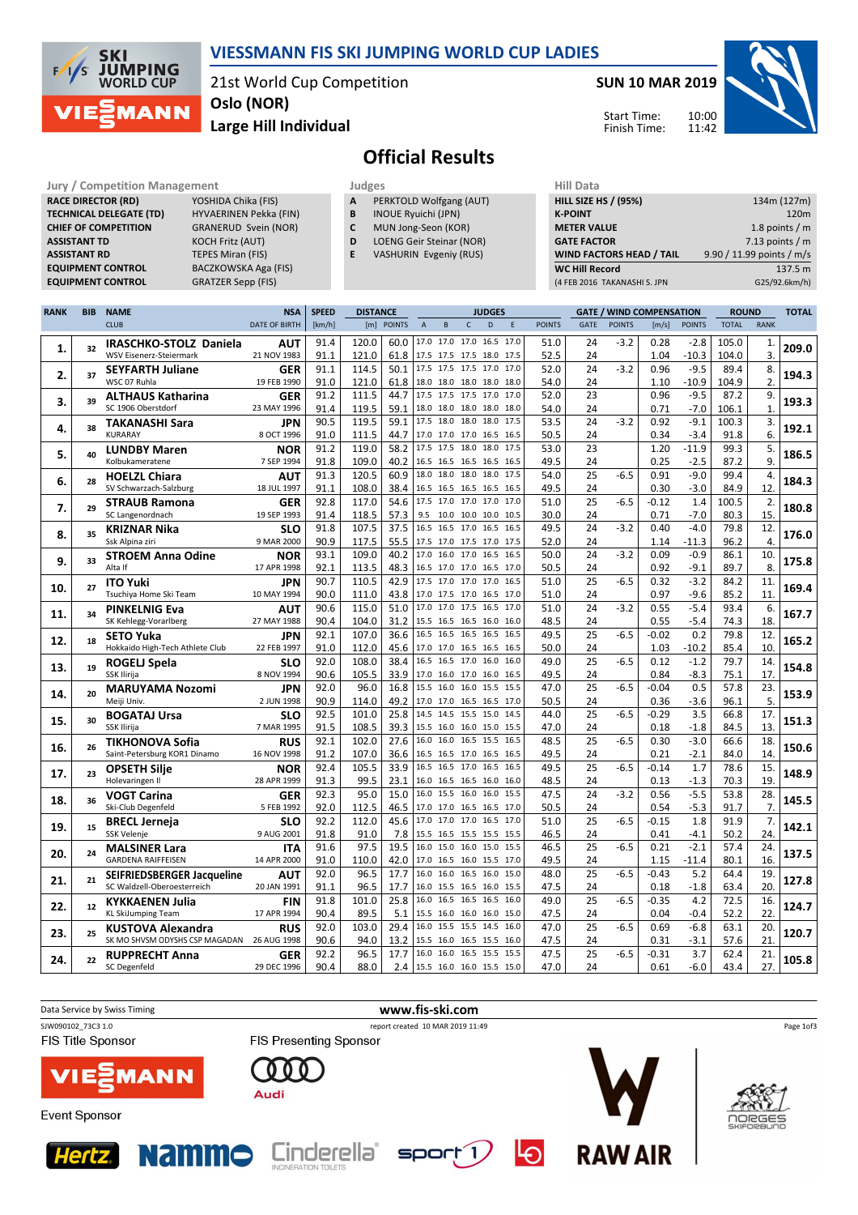

#### VIESSMANN FIS SKI JUMPING WORLD CUP LADIES

21st World Cup Competition Oslo (NOR)

Large Hill Individual

SUN 10 MAR 2019

Start Time: Finish Time:



# Official Results

Jury / Competition Management<br> **RACE DIRECTOR (RD)** YOSHIDA Chika (FIS) **A PERKTOLD Wolfgang (AUT)** HILL SIZE HILL SIZE RACE DIRECTOR (RD) ASSISTANT TD **KOCH Fritz (AUT) ASSISTANT RD** TEPES Miran (FIS)<br> **EQUIPMENT CONTROL** BACZKOWSKA Aga

**TECHNICAL DELEGATE (TD)** HYVAERINEN Pekka (FIN)<br> **CHIEF OF COMPETITION** GRANERUD Svein (NOR) GRANERUD Svein (NOR) BACZKOWSKA Aga (FIS) EQUIPMENT CONTROL GRATZER Sepp (FIS)

| $\sim$ | $-$ |  |  |
|--------|-----|--|--|

- A PERKTOLD Wolfgang (AUT)
- **B** INOUE Ryuichi (JPN)<br>**C** MUN Jong-Seon (KO
- MUN Jong-Seon (KOR)
- D LOENG Geir Steinar (NOR) E VASHURIN Evgeniy (RUS)
	-

| .                               |                           |
|---------------------------------|---------------------------|
| <b>HILL SIZE HS / (95%)</b>     | 134m (127m)               |
| <b>K-POINT</b>                  | 120 <sub>m</sub>          |
| <b>METER VALUE</b>              | 1.8 points $/m$           |
| <b>GATE FACTOR</b>              | 7.13 points $/m$          |
| <b>WIND FACTORS HEAD / TAIL</b> | 9.90 / 11.99 points / m/s |
| <b>WC Hill Record</b>           | 137.5 m                   |
| (4 FEB 2016 TAKANASHI S. JPN    | G25/92.6km/h)             |
|                                 |                           |

| <b>CLUB</b><br><b>DATE OF BIRTH</b><br>[km/h]<br>[m] POINTS<br>D<br><b>POINTS</b><br>GATE<br><b>POINTS</b><br><b>POINTS</b><br><b>TOTAL</b><br>$\mathsf A$<br>$\sf{B}$<br>$\mathsf{C}$<br>$\mathsf E$<br>[m/s]<br>17.0 17.0 17.0 16.5<br>120.0<br>17.0<br>IRASCHKO-STOLZ Daniela<br>91.4<br>60.0<br>51.0<br>24<br>$-3.2$<br>0.28<br>$-2.8$<br>105.0<br><b>AUT</b><br>32<br>1. | <b>RANK</b><br>1.<br>209.0 |
|-------------------------------------------------------------------------------------------------------------------------------------------------------------------------------------------------------------------------------------------------------------------------------------------------------------------------------------------------------------------------------|----------------------------|
|                                                                                                                                                                                                                                                                                                                                                                               |                            |
|                                                                                                                                                                                                                                                                                                                                                                               |                            |
| 91.1<br>121.0<br>WSV Eisenerz-Steiermark<br>21 NOV 1983<br>61.8<br>17.5 17.5 17.5 18.0 17.5<br>52.5<br>24<br>1.04<br>-10.3<br>104.0                                                                                                                                                                                                                                           | 3.                         |
| 114.5<br>50.1<br>17.5 17.5 17.5 17.0<br>17.0<br>52.0<br>24<br>$-3.2$<br>91.1<br>0.96<br>$-9.5$<br>89.4<br><b>SEYFARTH Juliane</b><br><b>GER</b>                                                                                                                                                                                                                               | 8.                         |
| 2.<br>37<br>WSC 07 Ruhla<br>19 FEB 1990<br>91.0<br>121.0<br>61.8<br>18.0 18.0 18.0 18.0<br>18.0<br>54.0<br>24<br>1.10<br>$-10.9$<br>104.9                                                                                                                                                                                                                                     | 194.3<br>2.                |
| 111.5<br>91.2<br>44.7<br>17.5 17.5 17.5 17.0<br>17.0<br>52.0<br>23<br>0.96<br>$-9.5$<br>87.2<br><b>GER</b><br><b>ALTHAUS Katharina</b>                                                                                                                                                                                                                                        | 9.                         |
| 39<br>3.<br>91.4<br>119.5<br>59.1<br>54.0<br>0.71<br>$-7.0$<br>106.1<br>SC 1906 Oberstdorf<br>23 MAY 1996<br>18.0 18.0 18.0 18.0 18.0<br>24                                                                                                                                                                                                                                   | 193.3<br>$\mathbf{1}$      |
| $-9.1$<br>90.5<br>119.5<br>59.1<br>17.5 18.0 18.0 18.0<br>17.5<br>53.5<br>24<br>$-3.2$<br>0.92<br>100.3<br><b>TAKANASHI Sara</b><br><b>JPN</b>                                                                                                                                                                                                                                | 3.                         |
| 4.<br>38<br>91.8<br><b>KURARAY</b><br>91.0<br>111.5<br>44.7<br>50.5<br>24<br>0.34<br>$-3.4$<br>8 OCT 1996<br>17.0 17.0 17.0 16.5 16.5                                                                                                                                                                                                                                         | 192.1<br>6.                |
| $-11.9$<br>91.2<br>119.0<br>58.2<br>17.5 17.5 18.0 18.0<br>17.5<br>53.0<br>23<br>1.20<br>99.3<br><b>LUNDBY Maren</b><br><b>NOR</b>                                                                                                                                                                                                                                            | 5.                         |
| 5.<br>40<br>91.8<br>109.0<br>40.2<br>49.5<br>0.25<br>$-2.5$<br>87.2<br>Kolbukameratene<br>24<br>7 SEP 1994<br>16.5 16.5 16.5 16.5 16.5                                                                                                                                                                                                                                        | 186.5<br>9.                |
| 25<br>$-9.0$<br>91.3<br>120.5<br>60.9<br>18.0<br>18.0 18.0 18.0<br>17.5<br>54.0<br>$-6.5$<br>0.91<br>99.4<br><b>HOELZL Chiara</b><br><b>AUT</b>                                                                                                                                                                                                                               | 4.                         |
| 6.<br>28<br>91.1<br>108.0<br>38.4<br>49.5<br>0.30<br>$-3.0$<br>84.9<br>SV Schwarzach-Salzburg<br>18 JUL 1997<br>16.5 16.5 16.5 16.5 16.5<br>24                                                                                                                                                                                                                                | 184.3<br>12.               |
| 117.0<br>54.6<br>17.5 17.0 17.0 17.0<br>51.0<br>25<br>$-6.5$<br>$-0.12$<br>1.4<br>100.5<br>92.8<br>17.0<br><b>GER</b><br><b>STRAUB Ramona</b>                                                                                                                                                                                                                                 | 2.                         |
| 7.<br>29<br>91.4<br>SC Langenordnach<br>19 SEP 1993<br>118.5<br>57.3<br>9.5 10.0 10.0 10.0 10.5<br>30.0<br>0.71<br>$-7.0$<br>80.3<br>24                                                                                                                                                                                                                                       | 180.8<br>15.               |
| 16.5 16.5 17.0 16.5<br>91.8<br>107.5<br>37.5<br>16.5<br>49.5<br>24<br>$-3.2$<br>0.40<br>$-4.0$<br>79.8<br><b>SLO</b><br><b>KRIZNAR Nika</b>                                                                                                                                                                                                                                   | 12.                        |
| 35<br>8.<br>Ssk Alpina ziri<br>9 MAR 2000<br>90.9<br>117.5<br>55.5<br>52.0<br>$-11.3$<br>96.2<br>17.5 17.0 17.5 17.0 17.5<br>24<br>1.14                                                                                                                                                                                                                                       | 176.0<br>$\overline{4}$ .  |
| 109.0<br>17.0 16.0 17.0 16.5 16.5<br>50.0<br>93.1<br>40.2<br>24<br>$-3.2$<br>0.09<br>$-0.9$<br>86.1<br><b>STROEM Anna Odine</b><br><b>NOR</b><br>33                                                                                                                                                                                                                           | 10.<br>175.8               |
| 9.<br>113.5<br>89.7<br>Alta If<br>17 APR 1998<br>92.1<br>48.3<br>16.5 17.0 17.0 16.5 17.0<br>50.5<br>0.92<br>$-9.1$<br>24                                                                                                                                                                                                                                                     | 8.                         |
| 110.5<br>42.9<br>17.5 17.0 17.0 17.0<br>51.0<br>25<br>$-6.5$<br>0.32<br>$-3.2$<br>84.2<br>90.7<br>16.5<br><b>ITO Yuki</b><br><b>JPN</b><br>27                                                                                                                                                                                                                                 | 11.                        |
| 10.<br>0.97<br>85.2<br>Tsuchiya Home Ski Team<br>90.0<br>111.0<br>43.8<br>51.0<br>$-9.6$<br>10 MAY 1994<br>17.0 17.5 17.0 16.5 17.0<br>24                                                                                                                                                                                                                                     | 169.4<br>11.               |
| 90.6<br>115.0<br>51.0<br>17.0 17.0 17.5 16.5 17.0<br>51.0<br>24<br>$-3.2$<br>0.55<br>$-5.4$<br>93.4<br><b>AUT</b><br><b>PINKELNIG Eva</b><br>34                                                                                                                                                                                                                               | 6.<br>167.7                |
| 11.<br>90.4<br>104.0<br>48.5<br>74.3<br>31.2<br>0.55<br>$-5.4$<br>SK Kehlegg-Vorarlberg<br>27 MAY 1988<br>15.5 16.5 16.5 16.0 16.0<br>24                                                                                                                                                                                                                                      | 18.                        |
| 49.5<br>25<br>0.2<br>79.8<br>92.1<br>107.0<br>36.6<br>16.5 16.5 16.5 16.5 16.5<br>$-6.5$<br>$-0.02$<br><b>JPN</b><br><b>SETO Yuka</b><br>18<br>12.                                                                                                                                                                                                                            | 12.<br>165.2               |
| Hokkaido High-Tech Athlete Club<br>22 FEB 1997<br>91.0<br>112.0<br>45.6<br>17.0 17.0 16.5 16.5 16.5<br>50.0<br>1.03<br>$-10.2$<br>85.4<br>24                                                                                                                                                                                                                                  | 10.                        |
| 49.0<br>25<br>79.7<br>92.0<br>108.0<br>38.4<br>16.5 16.5 17.0 16.0<br>16.0<br>$-6.5$<br>0.12<br>$-1.2$<br><b>SLO</b><br>ROGELJ Spela<br>13.<br>19                                                                                                                                                                                                                             | 14.<br>154.8               |
| SSK Ilirija<br>8 NOV 1994<br>90.6<br>105.5<br>33.9<br>49.5<br>24<br>0.84<br>$-8.3$<br>75.1<br>17.0 16.0 17.0 16.0 16.5                                                                                                                                                                                                                                                        | 17.                        |
| 25<br>$-6.5$<br>$-0.04$<br>0.5<br>57.8<br>92.0<br>96.0<br>16.8<br>15.5<br>16.0 16.0 15.5<br>15.5<br>47.0<br><b>MARUYAMA Nozomi</b><br><b>JPN</b><br>14.<br>20                                                                                                                                                                                                                 | 23.<br>153.9               |
| Meiji Univ.<br>2 JUN 1998<br>90.9<br>114.0<br>49.2<br>17.0 17.0 16.5 16.5 17.0<br>50.5<br>96.1<br>24<br>0.36<br>$-3.6$                                                                                                                                                                                                                                                        | 5.                         |
| 92.5<br>101.0<br>25.8<br>44.0<br>25<br>$-6.5$<br>$-0.29$<br>3.5<br>66.8<br>14.5<br>14.5 15.5 15.0<br>14.5<br><b>BOGATAJ Ursa</b><br><b>SLO</b><br>30<br>15.                                                                                                                                                                                                                   | 17.<br>151.3               |
| SSK Ilirija<br>7 MAR 1995<br>91.5<br>108.5<br>39.3<br>15.5 16.0 16.0 15.0 15.5<br>47.0<br>$-1.8$<br>84.5<br>24<br>0.18                                                                                                                                                                                                                                                        | 13.                        |
| 27.6<br>16.0<br>16.0 16.5 15.5<br>48.5<br>25<br>$-3.0$<br>92.1<br>102.0<br>16.5<br>$-6.5$<br>0.30<br>66.6<br><b>TIKHONOVA Sofia</b><br><b>RUS</b><br>26<br>16.                                                                                                                                                                                                                | 18.<br>150.6               |
| Saint-Petersburg KOR1 Dinamo<br>107.0<br>16 NOV 1998<br>91.2<br>36.6<br>16.5 16.5 17.0 16.5 16.5<br>49.5<br>24<br>0.21<br>$-2.1$<br>84.0                                                                                                                                                                                                                                      | 14.                        |
| 105.5<br>33.9<br>16.5 16.5 17.0 16.5<br>49.5<br>25<br>$-6.5$<br>$-0.14$<br>1.7<br>92.4<br>16.5<br>78.6<br><b>NOR</b><br><b>OPSETH Silje</b><br>17.<br>23                                                                                                                                                                                                                      | 15.<br>148.9               |
| 91.3<br>99.5<br>23.1<br>Holevaringen II<br>28 APR 1999<br>16.0 16.5 16.5 16.0 16.0<br>48.5<br>24<br>0.13<br>$-1.3$<br>70.3                                                                                                                                                                                                                                                    | 19.                        |
| 24<br>92.3<br>95.0<br>15.0<br>16.0<br>15.5 16.0 16.0<br>47.5<br>$-3.2$<br>0.56<br>$-5.5$<br>53.8<br>15.5<br><b>VOGT Carina</b><br>GER<br>18.<br>36                                                                                                                                                                                                                            | 28.<br>145.5               |
| Ski-Club Degenfeld<br>92.0<br>112.5<br>46.5<br>50.5<br>91.7<br>5 FEB 1992<br>17.0 17.0 16.5 16.5 17.0<br>24<br>0.54<br>$-5.3$                                                                                                                                                                                                                                                 | 7.                         |
| 45.6<br>51.0<br>25<br>1.8<br>91.9<br>92.2<br>112.0<br>17.0<br>17.0 17.0 16.5 17.0<br>$-6.5$<br>$-0.15$<br><b>SLO</b><br><b>BRECL Jerneja</b><br>19.<br>15                                                                                                                                                                                                                     | 7.<br>142.1                |
| <b>SSK Velenje</b><br>9 AUG 2001<br>91.8<br>91.0<br>7.8<br>15.5 16.5 15.5 15.5 15.5<br>46.5<br>24<br>0.41<br>$-4.1$<br>50.2<br>16.0                                                                                                                                                                                                                                           | 24.                        |
| 91.6<br>19.5<br>15.0<br>16.0 15.0<br>15.5<br>46.5<br>25<br>$-6.5$<br>0.21<br>$-2.1$<br>57.4<br>97.5<br><b>MALSINER Lara</b><br><b>ITA</b><br>20.<br>24                                                                                                                                                                                                                        | 24.<br>137.5               |
| <b>GARDENA RAIFFEISEN</b><br>14 APR 2000<br>110.0<br>17.0 16.5 16.0 15.5 17.0<br>49.5<br>91.0<br>42.0<br>24<br>1.15<br>$-11.4$<br>80.1<br>16.0<br>16.0 16.5 16.0<br>15.0<br>25                                                                                                                                                                                                | 16.<br>19.                 |
| 96.5<br>17.7<br>48.0<br>$-6.5$<br>$-0.43$<br>5.2<br>64.4<br>92.0<br>AUT<br>SEIFRIEDSBERGER Jacqueline<br>21.<br>21<br>SC Waldzell-Oberoesterreich<br>20 JAN 1991<br>16.0 15.5 16.5 16.0 15.5                                                                                                                                                                                  | 127.8                      |
| 96.5<br>47.5<br>$-1.8$<br>91.1<br>17.7<br>24<br>0.18<br>63.4<br>16.0<br>16.5 16.5 16.5<br>16.0<br>25<br>4.2<br>91.8<br>101.0<br>25.8<br>49.0<br>$-6.5$<br>$-0.35$<br>72.5                                                                                                                                                                                                     | 20.<br>16.                 |
| <b>FIN</b><br><b>KYKKAENEN Julia</b><br>22.<br>12<br><b>KL SkiJumping Team</b><br>17 APR 1994<br>90.4<br>89.5<br>5.1<br>15.5 16.0 16.0 16.0 15.0<br>47.5<br>24<br>0.04<br>$-0.4$<br>52.2                                                                                                                                                                                      | 124.7<br>22                |
| 25<br>$-6.8$<br>92.0<br>103.0<br>29.4<br>16.0<br>15.5 15.5 14.5 16.0<br>47.0<br>$-6.5$<br>0.69<br>63.1<br><b>RUS</b>                                                                                                                                                                                                                                                          | 20.                        |
| <b>KUSTOVA Alexandra</b><br>25<br>23.<br>SK MO SHVSM ODYSHS CSP MAGADAN 26 AUG 1998<br>90.6<br>94.0<br>13.2<br>15.5 16.0 16.5 15.5 16.0<br>47.5<br>24<br>0.31<br>$-3.1$<br>57.6                                                                                                                                                                                               | 120.7<br>21.               |
| 25<br>92.2<br>17.7<br>16.0<br>16.0 16.5 15.5<br>47.5<br>$-6.5$<br>$-0.31$<br>3.7<br>62.4<br>96.5<br>15.5<br><b>RUPPRECHT Anna</b><br>GER                                                                                                                                                                                                                                      | 21.                        |
| 24.<br>22<br>2.4 15.5 16.0 16.0 15.5 15.0<br>47.0<br>43.4<br>90.4<br>88.0<br>24<br>0.61<br>$-6.0$<br>SC Degenfeld<br>29 DEC 1996                                                                                                                                                                                                                                              | 105.8<br>27.               |











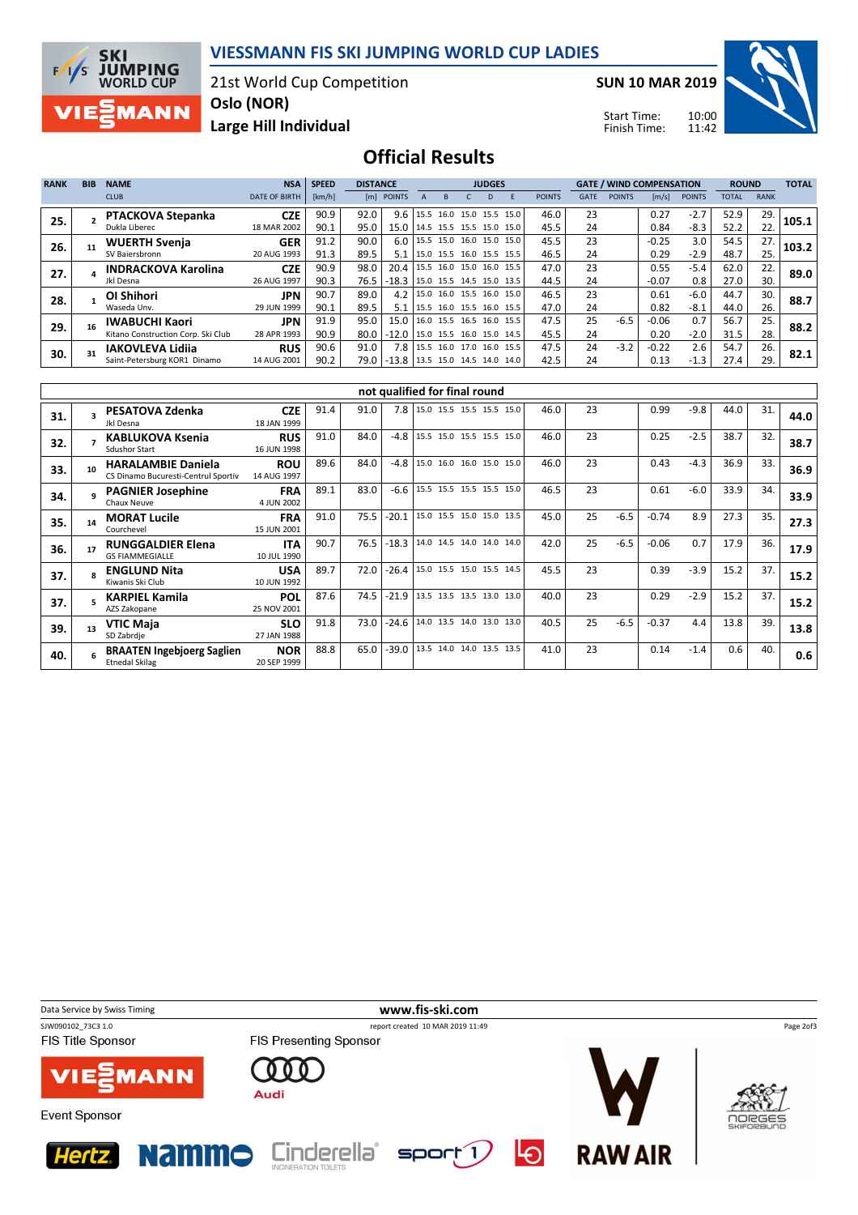

21st World Cup Competition

**SKI<br>JUMPING<br>WORLD CUP** 

**MANN** 

 $F/1/S$ 

SUN 10 MAR 2019

Start Time: Finish Time:



Large Hill Individual Oslo (NOR)

## Official Results

| <b>RANK</b> | <b>BIB</b> | <b>NAME</b>                        | <b>NSA</b>           | <b>SPEED</b> |      | <b>DISTANCE</b><br><b>JUDGES</b>   |   |                              |  |   |                                |               | <b>GATE / WIND COMPENSATION</b> |               |         |               |       | <b>ROUND</b> |       |
|-------------|------------|------------------------------------|----------------------|--------------|------|------------------------------------|---|------------------------------|--|---|--------------------------------|---------------|---------------------------------|---------------|---------|---------------|-------|--------------|-------|
|             |            | <b>CLUB</b>                        | <b>DATE OF BIRTH</b> | [km/h]       |      | [m] POINTS                         | A | B                            |  | D |                                | <b>POINTS</b> | <b>GATE</b>                     | <b>POINTS</b> | [m/s]   | <b>POINTS</b> | TOTAL | <b>RANK</b>  |       |
| 25.         |            | <b>PTACKOVA Stepanka</b>           | <b>CZE</b>           | 90.9         | 92.0 |                                    |   |                              |  |   | 9.6   15.5 16.0 15.0 15.5 15.0 | 46.0          | 23                              |               | 0.27    | $-2.7$        | 52.9  | 29.          | 105.1 |
|             |            | Dukla Liberec                      | 18 MAR 2002          | 90.1         | 95.0 | 15.0   14.5 15.5 15.5 15.0 15.0    |   |                              |  |   |                                | 45.5          | 24                              |               | 0.84    | $-8.3$        | 52.2  | 22.          |       |
| 26.         |            | WUERTH Svenja                      | <b>GER</b>           | 91.2         | 90.0 |                                    |   |                              |  |   | 6.0   15.5 15.0 16.0 15.0 15.0 | 45.5          | 23                              |               | $-0.25$ | 3.0           | 54.5  | 27.          | 103.2 |
|             |            | SV Bajersbronn                     | 20 AUG 1993          | 91.3         | 89.5 |                                    |   |                              |  |   | 5.1   15.0 15.5 16.0 15.5 15.5 | 46.5          | 24                              |               | 0.29    | $-2.9$        | 48.7  | 25.          |       |
| 27.         |            | <b>INDRACKOVA Karolina</b>         | <b>CZE</b>           | 90.9         | 98.0 | 20.4   15.5 16.0 15.0 16.0 15.5    |   |                              |  |   |                                | 47.0          | 23                              |               | 0.55    | $-5.4$        | 62.0  | 22.          | 89.0  |
|             |            | Jkl Desna                          | 26 AUG 1997          | 90.3         | 76.5 | $-18.3$ 15.0 15.5 14.5 15.0 13.5   |   |                              |  |   |                                | 44.5          | 24                              |               | $-0.07$ | 0.8           | 27.0  | 30.          |       |
| 28.         |            | OI Shihori                         | <b>JPN</b>           | 90.7         | 89.0 |                                    |   | 4.2 15.0 16.0 15.5 16.0 15.0 |  |   |                                | 46.5          | 23                              |               | 0.61    | $-6.0$        | 44.7  | 30.          | 88.7  |
|             |            | Waseda Unv.                        | 29 JUN 1999          | 90.1         | 89.5 |                                    |   | 5.1 15.5 16.0 15.5 16.0 15.5 |  |   |                                | 47.0          | 24                              |               | 0.82    | $-8.1$        | 44.0  | 26.          |       |
| 29.         |            | <b>IWABUCHI Kaori</b>              | <b>JPN</b>           | 91.9         | 95.0 | 15.0 16.0 15.5 16.5 16.0 15.5      |   |                              |  |   |                                | 47.5          | 25                              | $-6.5$        | $-0.06$ | 0.7           | 56.7  | 25.          | 88.2  |
|             |            | Kitano Construction Corp. Ski Club | 28 APR 1993          | 90.9         | 80.0 | $-12.0$   15.0 15.5 16.0 15.0 14.5 |   |                              |  |   |                                | 45.5          | 24                              |               | 0.20    | $-2.0$        | 31.5  | 28.          |       |
| 30.         |            | <b>IAKOVLEVA Lidija</b>            | <b>RUS</b>           | 90.6         | 91.0 | 7.8 l                              |   | 15.5 16.0 17.0 16.0 15.5     |  |   |                                | 47.5          | 24                              | $-3.2$        | $-0.22$ | 2.6           | 54.7  | 26.          | 82.1  |
|             |            | Saint-Petersburg KOR1 Dinamo       | 14 AUG 2001          | 90.2         | 79.0 | $-13.8$ 13.5 15.0 14.5 14.0 14.0   |   |                              |  |   |                                | 42.5          | 24                              |               | 0.13    | $-1.3$        | 27.4  | 29.          |       |

|     |    |                                                                  |                           |      |      | not qualified for final round |  |                          |      |    |        |         |        |      |     |      |
|-----|----|------------------------------------------------------------------|---------------------------|------|------|-------------------------------|--|--------------------------|------|----|--------|---------|--------|------|-----|------|
| 31. |    | <b>PESATOVA Zdenka</b><br>Jkl Desna                              | <b>CZE</b><br>18 JAN 1999 | 91.4 | 91.0 | 7.8 <sub>1</sub>              |  | 15.0 15.5 15.5 15.5 15.0 | 46.0 | 23 |        | 0.99    | $-9.8$ | 44.0 | 31. | 44.0 |
| 32. |    | <b>KABLUKOVA Ksenia</b><br><b>Sdushor Start</b>                  | <b>RUS</b><br>16 JUN 1998 | 91.0 | 84.0 | $-4.8$                        |  | 15.5 15.0 15.5 15.5 15.0 | 46.0 | 23 |        | 0.25    | $-2.5$ | 38.7 | 32. | 38.7 |
| 33. | 10 | <b>HARALAMBIE Daniela</b><br>CS Dinamo Bucuresti-Centrul Sportiv | <b>ROU</b><br>14 AUG 1997 | 89.6 | 84.0 | $-4.8$                        |  | 15.0 16.0 16.0 15.0 15.0 | 46.0 | 23 |        | 0.43    | $-4.3$ | 36.9 | 33. | 36.9 |
| 34. |    | <b>PAGNIER Josephine</b><br>Chaux Neuve                          | <b>FRA</b><br>4 JUN 2002  | 89.1 | 83.0 | $-6.6$                        |  | 15.5 15.5 15.5 15.5 15.0 | 46.5 | 23 |        | 0.61    | $-6.0$ | 33.9 | 34. | 33.9 |
| 35. | 14 | <b>MORAT Lucile</b><br>Courchevel                                | <b>FRA</b><br>15 JUN 2001 | 91.0 | 75.5 | $-20.1$                       |  | 15.0 15.5 15.0 15.0 13.5 | 45.0 | 25 | $-6.5$ | $-0.74$ | 8.9    | 27.3 | 35. | 27.3 |
| 36. |    | <b>RUNGGALDIER Elena</b><br><b>GS FIAMMEGIALLE</b>               | <b>ITA</b><br>10 JUL 1990 | 90.7 | 76.5 | $-18.3$                       |  | 14.0 14.5 14.0 14.0 14.0 | 42.0 | 25 | $-6.5$ | $-0.06$ | 0.7    | 17.9 | 36. | 17.9 |
| 37. |    | <b>ENGLUND Nita</b><br>Kiwanis Ski Club                          | <b>USA</b><br>10 JUN 1992 | 89.7 | 72.0 | $-26.4$                       |  | 15.0 15.5 15.0 15.5 14.5 | 45.5 | 23 |        | 0.39    | $-3.9$ | 15.2 | 37. | 15.2 |
| 37. |    | <b>KARPIEL Kamila</b><br>AZS Zakopane                            | <b>POL</b><br>25 NOV 2001 | 87.6 | 74.5 | -21.9 l                       |  | 13.5 13.5 13.5 13.0 13.0 | 40.0 | 23 |        | 0.29    | $-2.9$ | 15.2 | 37. | 15.2 |
| 39. | 13 | VTIC Maia<br>SD Zabrdje                                          | <b>SLO</b><br>27 JAN 1988 | 91.8 | 73.0 | -24.6                         |  | 14.0 13.5 14.0 13.0 13.0 | 40.5 | 25 | $-6.5$ | $-0.37$ | 4.4    | 13.8 | 39. | 13.8 |
| 40. |    | <b>BRAATEN Ingebjoerg Saglien</b><br><b>Etnedal Skilag</b>       | <b>NOR</b><br>20 SEP 1999 | 88.8 | 65.0 | -39.0 l                       |  | 13.5 14.0 14.0 13.5 13.5 | 41.0 | 23 |        | 0.14    | $-1.4$ | 0.6  | 40. | 0.6  |